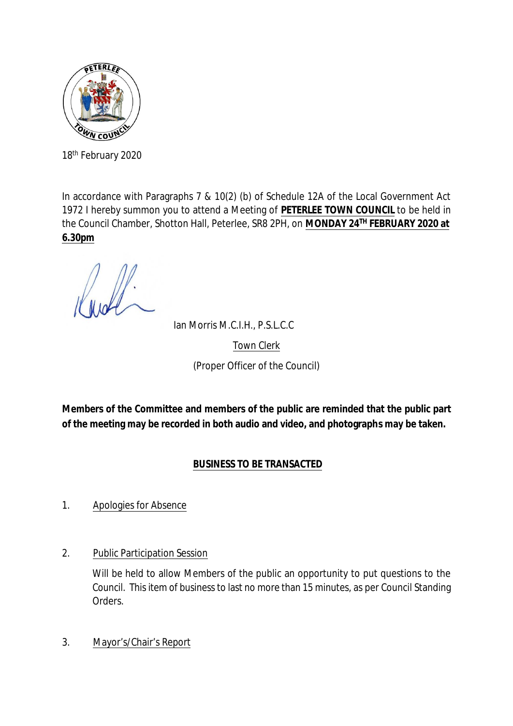

18th February 2020

In accordance with Paragraphs 7 & 10(2) (b) of Schedule 12A of the Local Government Act 1972 I hereby summon you to attend a Meeting of **PETERLEE TOWN COUNCIL** to be held in the Council Chamber, Shotton Hall, Peterlee, SR8 2PH, on **MONDAY 24TH FEBRUARY 2020 at 6.30pm**

Ian Morris M.C.I.H., P.S.L.C.C

Town Clerk

(Proper Officer of the Council)

**Members of the Committee and members of the public are reminded that the public part of the meeting may be recorded in both audio and video, and photographs may be taken.**

# **BUSINESS TO BE TRANSACTED**

# 1. Apologies for Absence

2. Public Participation Session

Will be held to allow Members of the public an opportunity to put questions to the Council. This item of business to last no more than 15 minutes, as per Council Standing Orders.

3. Mayor's/Chair's Report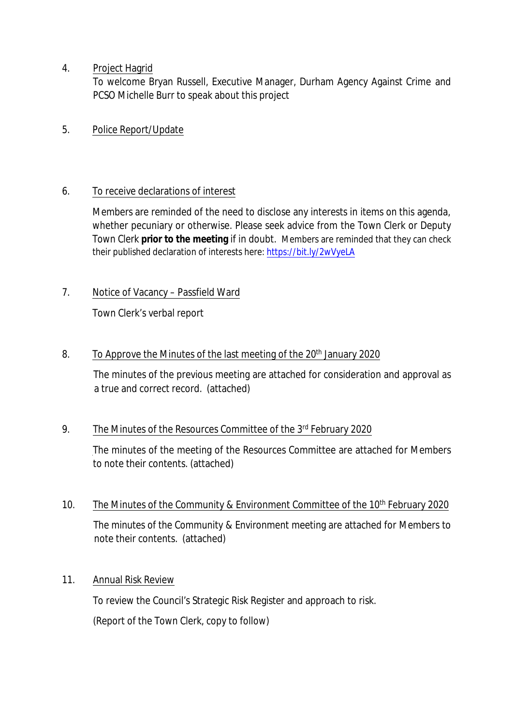## 4. Project Hagrid

To welcome Bryan Russell, Executive Manager, Durham Agency Against Crime and PCSO Michelle Burr to speak about this project

# 5. Police Report/Update

# 6. To receive declarations of interest

Members are reminded of the need to disclose any interests in items on this agenda, whether pecuniary or otherwise. Please seek advice from the Town Clerk or Deputy Town Clerk **prior to the meeting** if in doubt. Members are reminded that they can check their published declaration of interests here[: https://bit.ly/2wVyeLA](https://bit.ly/2wVyeLA)

# 7. Notice of Vacancy – Passfield Ward

Town Clerk's verbal report

# 8. To Approve the Minutes of the last meeting of the 20<sup>th</sup> January 2020

The minutes of the previous meeting are attached for consideration and approval as a true and correct record. (attached)

## 9. The Minutes of the Resources Committee of the 3rd February 2020

The minutes of the meeting of the Resources Committee are attached for Members to note their contents. (attached)

10. The Minutes of the Community & Environment Committee of the 10<sup>th</sup> February 2020 The minutes of the Community & Environment meeting are attached for Members to note their contents. (attached)

# 11. Annual Risk Review

To review the Council's Strategic Risk Register and approach to risk. (Report of the Town Clerk, copy to follow)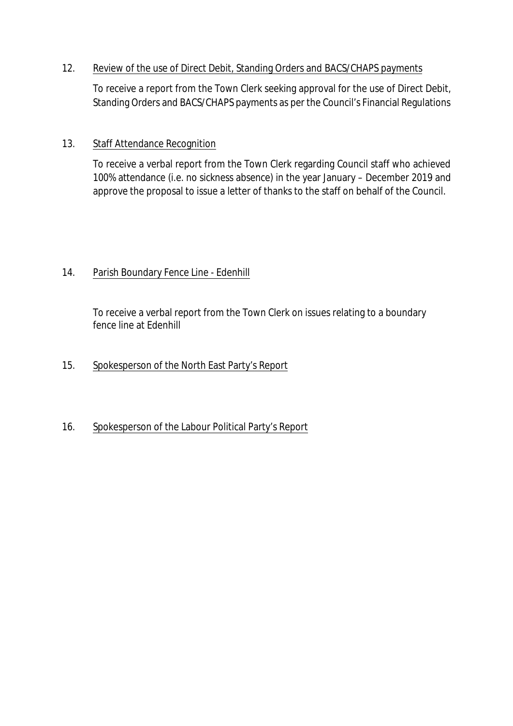## 12. Review of the use of Direct Debit, Standing Orders and BACS/CHAPS payments

To receive a report from the Town Clerk seeking approval for the use of Direct Debit, Standing Orders and BACS/CHAPS payments as per the Council's Financial Regulations

## 13. Staff Attendance Recognition

To receive a verbal report from the Town Clerk regarding Council staff who achieved 100% attendance (i.e. no sickness absence) in the year January – December 2019 and approve the proposal to issue a letter of thanks to the staff on behalf of the Council.

## 14. Parish Boundary Fence Line - Edenhill

To receive a verbal report from the Town Clerk on issues relating to a boundary fence line at Edenhill

# 15. Spokesperson of the North East Party's Report

# 16. Spokesperson of the Labour Political Party's Report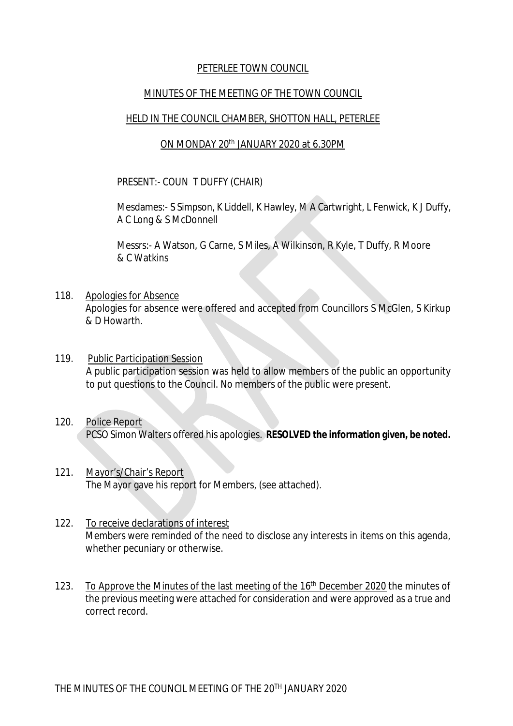#### PETERLEE TOWN COUNCIL

#### MINUTES OF THE MEETING OF THE TOWN COUNCIL

#### HELD IN THE COUNCIL CHAMBER, SHOTTON HALL, PETERLEE

#### ON MONDAY 20<sup>th</sup> JANUARY 2020 at 6.30PM

#### PRESENT:- COUN T DUFFY (CHAIR)

Mesdames:- S Simpson, K Liddell, K Hawley, M A Cartwright, L Fenwick, K J Duffy, A C Long & S McDonnell

Messrs:- A Watson, G Carne, S Miles, A Wilkinson, R Kyle, T Duffy, R Moore & C Watkins

- 118. Apologies for Absence Apologies for absence were offered and accepted from Councillors S McGlen, S Kirkup & D Howarth.
- 119. Public Participation Session A public participation session was held to allow members of the public an opportunity to put questions to the Council. No members of the public were present.
- 120. Police Report PCSO Simon Walters offered his apologies. **RESOLVED the information given, be noted.**
- 121. Mayor's/Chair's Report The Mayor gave his report for Members, (see attached).
- 122. To receive declarations of interest Members were reminded of the need to disclose any interests in items on this agenda, whether pecuniary or otherwise.
- 123. To Approve the Minutes of the last meeting of the 16<sup>th</sup> December 2020 the minutes of the previous meeting were attached for consideration and were approved as a true and correct record.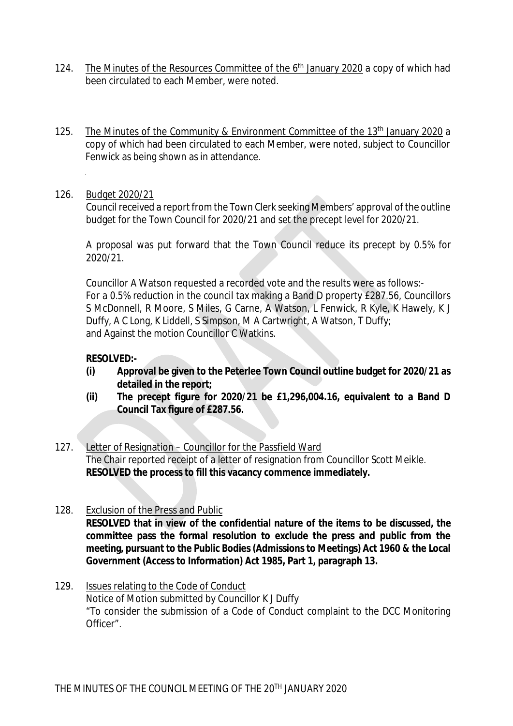- 124. The Minutes of the Resources Committee of the 6<sup>th</sup> January 2020</u> a copy of which had been circulated to each Member, were noted.
- 125. The Minutes of the Community & Environment Committee of the 13th January 2020 a copy of which had been circulated to each Member, were noted, subject to Councillor Fenwick as being shown as in attendance.

#### 126. Budget 2020/21

Council received a report from the Town Clerk seeking Members' approval of the outline budget for the Town Council for 2020/21 and set the precept level for 2020/21.

A proposal was put forward that the Town Council reduce its precept by 0.5% for 2020/21.

Councillor A Watson requested a recorded vote and the results were as follows:- For a 0.5% reduction in the council tax making a Band D property £287.56, Councillors S McDonnell, R Moore, S Miles, G Carne, A Watson, L Fenwick, R Kyle, K Hawely, K J Duffy, A C Long, K Liddell, S Simpson, M A Cartwright, A Watson, T Duffy; and Against the motion Councillor C Watkins.

## **RESOLVED:-**

- **(i) Approval be given to the Peterlee Town Council outline budget for 2020/21 as detailed in the report;**
- **(ii) The precept figure for 2020/21 be £1,296,004.16, equivalent to a Band D Council Tax figure of £287.56.**
- 127. Letter of Resignation Councillor for the Passfield Ward The Chair reported receipt of a letter of resignation from Councillor Scott Meikle. **RESOLVED the process to fill this vacancy commence immediately.**
- 128. Exclusion of the Press and Public **RESOLVED that in view of the confidential nature of the items to be discussed, the committee pass the formal resolution to exclude the press and public from the meeting, pursuant to the Public Bodies (Admissions to Meetings) Act 1960 & the Local Government (Access to Information) Act 1985, Part 1, paragraph 13.**
- 129. Issues relating to the Code of Conduct Notice of Motion submitted by Councillor K J Duffy "To consider the submission of a Code of Conduct complaint to the DCC Monitoring Officer".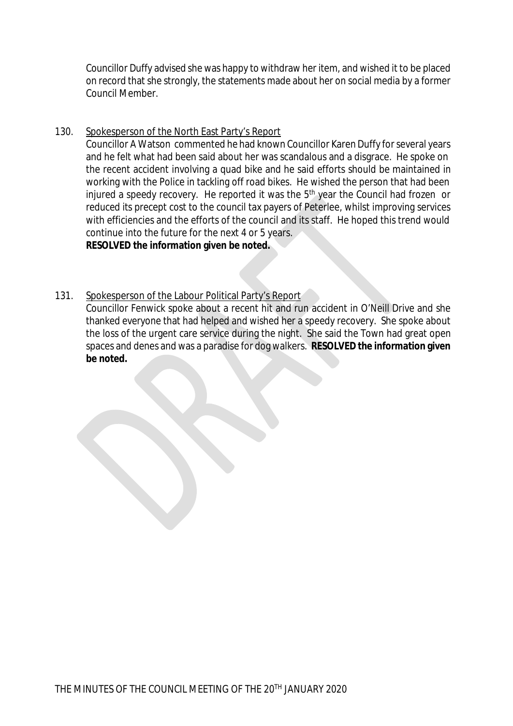Councillor Duffy advised she was happy to withdraw her item, and wished it to be placed on record that she strongly, the statements made about her on social media by a former Council Member.

#### 130. Spokesperson of the North East Party's Report

Councillor A Watson commented he had known Councillor Karen Duffy for several years and he felt what had been said about her was scandalous and a disgrace. He spoke on the recent accident involving a quad bike and he said efforts should be maintained in working with the Police in tackling off road bikes. He wished the person that had been injured a speedy recovery. He reported it was the 5<sup>th</sup> year the Council had frozen or reduced its precept cost to the council tax payers of Peterlee, whilst improving services with efficiencies and the efforts of the council and its staff. He hoped this trend would continue into the future for the next 4 or 5 years. **RESOLVED the information given be noted.**

#### 131. Spokesperson of the Labour Political Party's Report

Councillor Fenwick spoke about a recent hit and run accident in O'Neill Drive and she thanked everyone that had helped and wished her a speedy recovery. She spoke about the loss of the urgent care service during the night. She said the Town had great open spaces and denes and was a paradise for dog walkers. **RESOLVED the information given be noted.**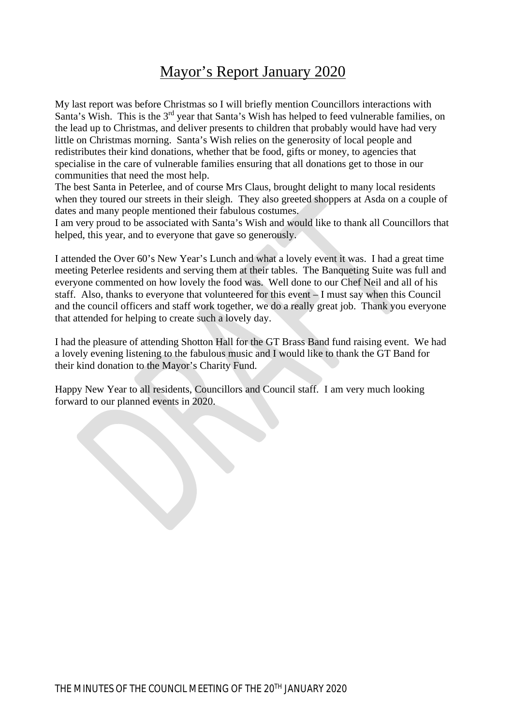# Mayor's Report January 2020

My last report was before Christmas so I will briefly mention Councillors interactions with Santa's Wish. This is the 3<sup>rd</sup> year that Santa's Wish has helped to feed vulnerable families, on the lead up to Christmas, and deliver presents to children that probably would have had very little on Christmas morning. Santa's Wish relies on the generosity of local people and redistributes their kind donations, whether that be food, gifts or money, to agencies that specialise in the care of vulnerable families ensuring that all donations get to those in our communities that need the most help.

The best Santa in Peterlee, and of course Mrs Claus, brought delight to many local residents when they toured our streets in their sleigh. They also greeted shoppers at Asda on a couple of dates and many people mentioned their fabulous costumes.

I am very proud to be associated with Santa's Wish and would like to thank all Councillors that helped, this year, and to everyone that gave so generously.

I attended the Over 60's New Year's Lunch and what a lovely event it was. I had a great time meeting Peterlee residents and serving them at their tables. The Banqueting Suite was full and everyone commented on how lovely the food was. Well done to our Chef Neil and all of his staff. Also, thanks to everyone that volunteered for this event – I must say when this Council and the council officers and staff work together, we do a really great job. Thank you everyone that attended for helping to create such a lovely day.

I had the pleasure of attending Shotton Hall for the GT Brass Band fund raising event. We had a lovely evening listening to the fabulous music and I would like to thank the GT Band for their kind donation to the Mayor's Charity Fund.

Happy New Year to all residents, Councillors and Council staff. I am very much looking forward to our planned events in 2020.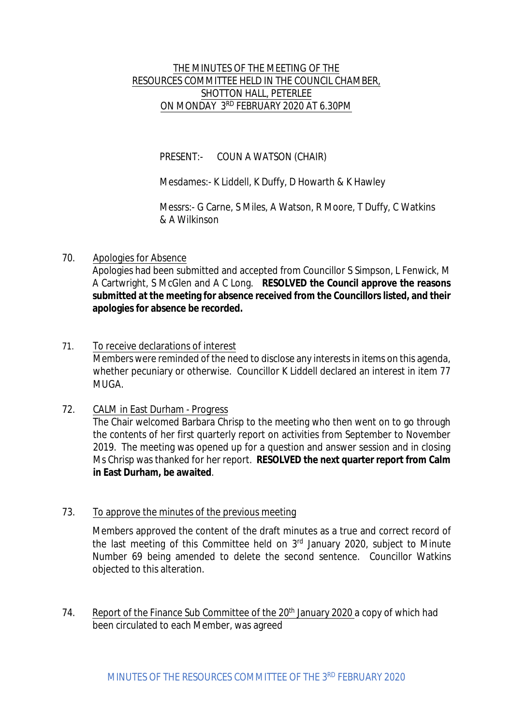## THE MINUTES OF THE MEETING OF THE RESOURCES COMMITTEE HELD IN THE COUNCIL CHAMBER, SHOTTON HALL, PETERLEE ON MONDAY 3RD FEBRUARY 2020 AT 6.30PM

PRESENT:- COUN A WATSON (CHAIR)

Mesdames:- K Liddell, K Duffy, D Howarth & K Hawley

Messrs:- G Carne, S Miles, A Watson, R Moore, T Duffy, C Watkins & A Wilkinson

70. Apologies for Absence

Apologies had been submitted and accepted from Councillor S Simpson, L Fenwick, M A Cartwright, S McGlen and A C Long. **RESOLVED the Council approve the reasons submitted at the meeting for absence received from the Councillors listed, and their apologies for absence be recorded.**

- 71. To receive declarations of interest Members were reminded of the need to disclose any interests in items on this agenda, whether pecuniary or otherwise. Councillor K Liddell declared an interest in item 77 MUGA.
- 72. CALM in East Durham Progress

The Chair welcomed Barbara Chrisp to the meeting who then went on to go through the contents of her first quarterly report on activities from September to November 2019. The meeting was opened up for a question and answer session and in closing Ms Chrisp was thanked for her report. **RESOLVED the next quarter report from Calm in East Durham, be awaited**.

73. To approve the minutes of the previous meeting

Members approved the content of the draft minutes as a true and correct record of the last meeting of this Committee held on  $3<sup>rd</sup>$  January 2020, subject to Minute Number 69 being amended to delete the second sentence. Councillor Watkins objected to this alteration.

74. Report of the Finance Sub Committee of the 20<sup>th</sup> January 2020 a copy of which had been circulated to each Member, was agreed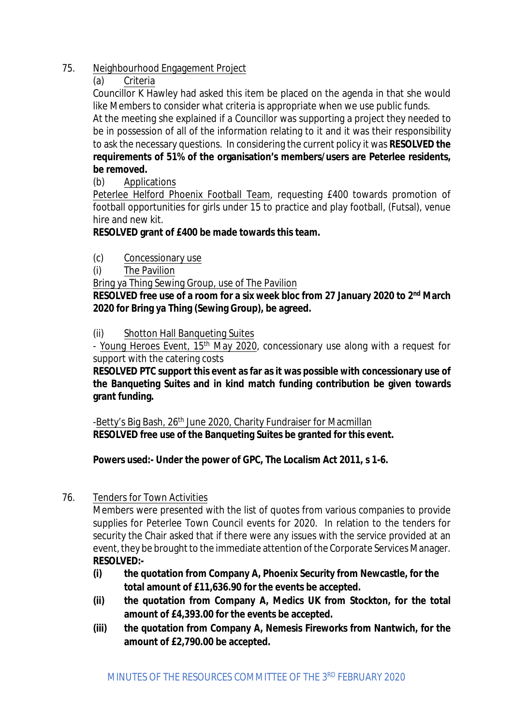## 75. Neighbourhood Engagement Project

(a) Criteria

Councillor K Hawley had asked this item be placed on the agenda in that she would like Members to consider what criteria is appropriate when we use public funds.

At the meeting she explained if a Councillor was supporting a project they needed to be in possession of all of the information relating to it and it was their responsibility to ask the necessary questions. In considering the current policy it was **RESOLVED the requirements of 51% of the organisation's members/users are Peterlee residents, be removed.**

(b) Applications

Peterlee Helford Phoenix Football Team, requesting £400 towards promotion of football opportunities for girls under 15 to practice and play football, (Futsal), venue hire and new kit.

# **RESOLVED grant of £400 be made towards this team.**

- (c) Concessionary use
- (i) The Pavilion

Bring ya Thing Sewing Group, use of The Pavilion

**RESOLVED free use of a room for a six week bloc from 27 January 2020 to 2nd March 2020 for Bring ya Thing (Sewing Group), be agreed.**

(ii) Shotton Hall Banqueting Suites

- Young Heroes Event, 15<sup>th</sup> May 2020, concessionary use along with a request for support with the catering costs

**RESOLVED PTC support this event as far as it was possible with concessionary use of the Banqueting Suites and in kind match funding contribution be given towards grant funding.**

-Betty's Big Bash, 26<sup>th</sup> June 2020, Charity Fundraiser for Macmillan **RESOLVED free use of the Banqueting Suites be granted for this event.**

**Powers used:- Under the power of GPC, The Localism Act 2011, s 1-6.**

76. Tenders for Town Activities

Members were presented with the list of quotes from various companies to provide supplies for Peterlee Town Council events for 2020. In relation to the tenders for security the Chair asked that if there were any issues with the service provided at an event, they be brought to the immediate attention of the Corporate Services Manager. **RESOLVED:-**

- **(i) the quotation from Company A, Phoenix Security from Newcastle, for the total amount of £11,636.90 for the events be accepted.**
- **(ii) the quotation from Company A, Medics UK from Stockton, for the total amount of £4,393.00 for the events be accepted.**
- **(iii) the quotation from Company A, Nemesis Fireworks from Nantwich, for the amount of £2,790.00 be accepted.**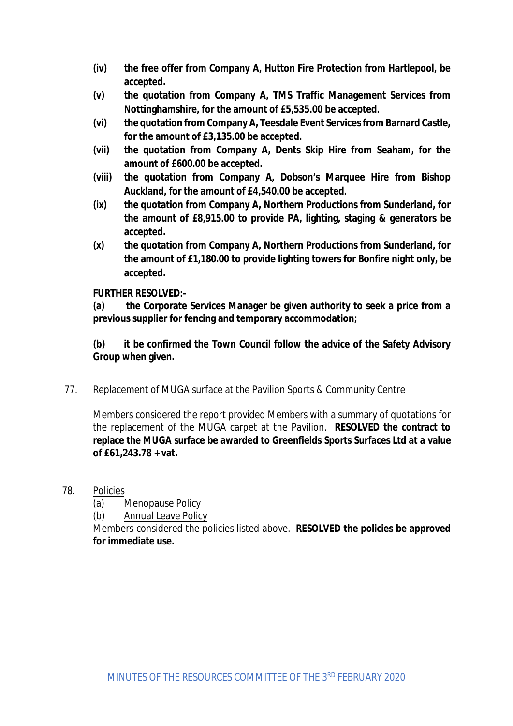- **(iv) the free offer from Company A, Hutton Fire Protection from Hartlepool, be accepted.**
- **(v) the quotation from Company A, TMS Traffic Management Services from Nottinghamshire, for the amount of £5,535.00 be accepted.**
- **(vi) the quotation from Company A, Teesdale Event Servicesfrom Barnard Castle, for the amount of £3,135.00 be accepted.**
- **(vii) the quotation from Company A, Dents Skip Hire from Seaham, for the amount of £600.00 be accepted.**
- **(viii) the quotation from Company A, Dobson's Marquee Hire from Bishop Auckland, for the amount of £4,540.00 be accepted.**
- **(ix) the quotation from Company A, Northern Productions from Sunderland, for the amount of £8,915.00 to provide PA, lighting, staging & generators be accepted.**
- **(x) the quotation from Company A, Northern Productions from Sunderland, for the amount of £1,180.00 to provide lighting towers for Bonfire night only, be accepted.**

#### **FURTHER RESOLVED:-**

**(a) the Corporate Services Manager be given authority to seek a price from a previous supplier for fencing and temporary accommodation;**

**(b) it be confirmed the Town Council follow the advice of the Safety Advisory Group when given.**

## 77. Replacement of MUGA surface at the Pavilion Sports & Community Centre

Members considered the report provided Members with a summary of quotations for the replacement of the MUGA carpet at the Pavilion. **RESOLVED the contract to replace the MUGA surface be awarded to Greenfields Sports Surfaces Ltd at a value of £61,243.78 + vat.**

- 78. Policies
	- (a) Menopause Policy
	- (b) Annual Leave Policy

Members considered the policies listed above. **RESOLVED the policies be approved for immediate use.**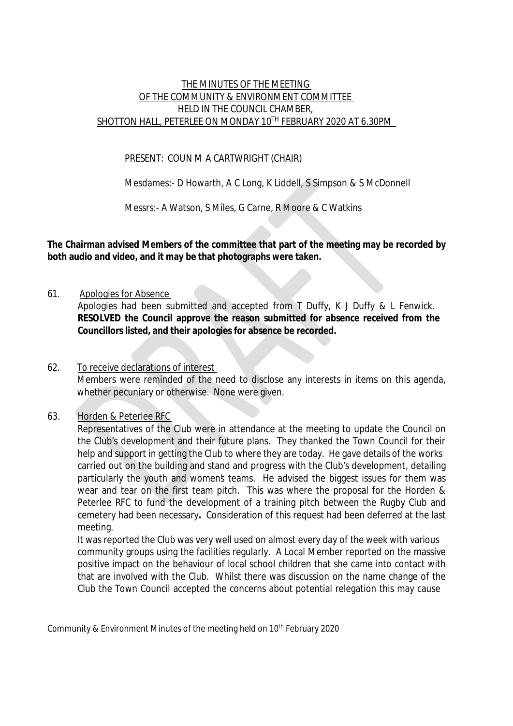#### THE MINUTES OF THE MEETING OF THE COMMUNITY & ENVIRONMENT COMMITTEE HELD IN THE COUNCIL CHAMBER, SHOTTON HALL, PETERLEE ON MONDAY 10TH FEBRUARY 2020 AT 6.30PM

#### PRESENT: COUN M A CARTWRIGHT (CHAIR)

Mesdames:- D Howarth, A C Long, K Liddell, S Simpson & S McDonnell

Messrs:- A Watson, S Miles, G Carne, R Moore & C Watkins

**The Chairman advised Members of the committee that part of the meeting may be recorded by both audio and video, and it may be that photographs were taken.**

61. Apologies for Absence

Apologies had been submitted and accepted from T Duffy, K J Duffy & L Fenwick. **RESOLVED the Council approve the reason submitted for absence received from the Councillors listed, and their apologies for absence be recorded.**

62. To receive declarations of interest Members were reminded of the need to disclose any interests in items on this agenda, whether pecuniary or otherwise. None were given.

#### 63. Horden & Peterlee RFC

Representatives of the Club were in attendance at the meeting to update the Council on the Club's development and their future plans. They thanked the Town Council for their help and support in getting the Club to where they are today. He gave details of the works carried out on the building and stand and progress with the Club's development, detailing particularly the youth and women's teams. He advised the biggest issues for them was wear and tear on the first team pitch. This was where the proposal for the Horden & Peterlee RFC to fund the development of a training pitch between the Rugby Club and cemetery had been necessary**.** Consideration of this request had been deferred at the last meeting.

It was reported the Club was very well used on almost every day of the week with various community groups using the facilities regularly. A Local Member reported on the massive positive impact on the behaviour of local school children that she came into contact with that are involved with the Club. Whilst there was discussion on the name change of the Club the Town Council accepted the concerns about potential relegation this may cause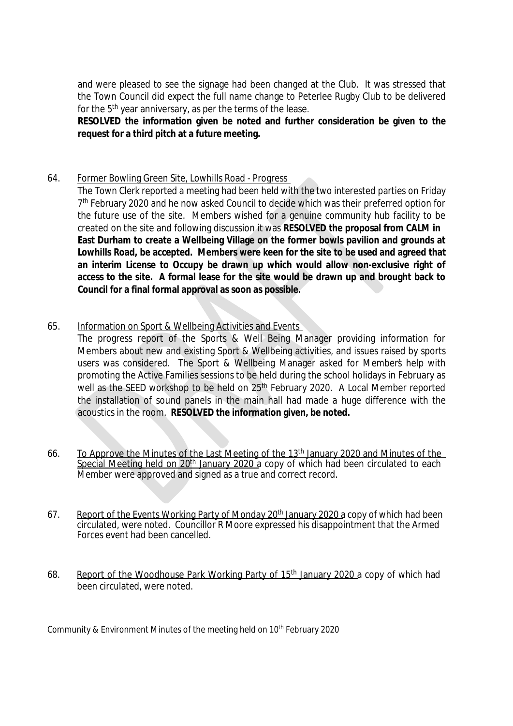and were pleased to see the signage had been changed at the Club. It was stressed that the Town Council did expect the full name change to Peterlee Rugby Club to be delivered for the 5th year anniversary, as per the terms of the lease.

**RESOLVED the information given be noted and further consideration be given to the request for a third pitch at a future meeting.**

#### 64. Former Bowling Green Site, Lowhills Road - Progress

The Town Clerk reported a meeting had been held with the two interested parties on Friday 7 th February 2020 and he now asked Council to decide which was their preferred option for the future use of the site. Members wished for a genuine community hub facility to be created on the site and following discussion it was **RESOLVED the proposal from CALM in East Durham to create a Wellbeing Village on the former bowls pavilion and grounds at Lowhills Road, be accepted. Members were keen for the site to be used and agreed that an interim License to Occupy be drawn up which would allow non-exclusive right of access to the site. A formal lease for the site would be drawn up and brought back to Council for a final formal approval as soon as possible.**

65. Information on Sport & Wellbeing Activities and Events

The progress report of the Sports & Well Being Manager providing information for Members about new and existing Sport & Wellbeing activities, and issues raised by sports users was considered. The Sport & Wellbeing Manager asked for Member's help with promoting the Active Families sessions to be held during the school holidays in February as well as the SEED workshop to be held on 25<sup>th</sup> February 2020. A Local Member reported the installation of sound panels in the main hall had made a huge difference with the acoustics in the room. **RESOLVED the information given, be noted.**

- 66. To Approve the Minutes of the Last Meeting of the 13<sup>th</sup> January 2020 and Minutes of the Special Meeting held on 20th January 2020 a copy of which had been circulated to each Member were approved and signed as a true and correct record.
- 67. Report of the Events Working Party of Monday 20<sup>th</sup> January 2020 a copy of which had been circulated, were noted. Councillor R Moore expressed his disappointment that the Armed Forces event had been cancelled.
- 68. Report of the Woodhouse Park Working Party of 15<sup>th</sup> January 2020 a copy of which had been circulated, were noted.

Community & Environment Minutes of the meeting held on  $10<sup>th</sup>$  February 2020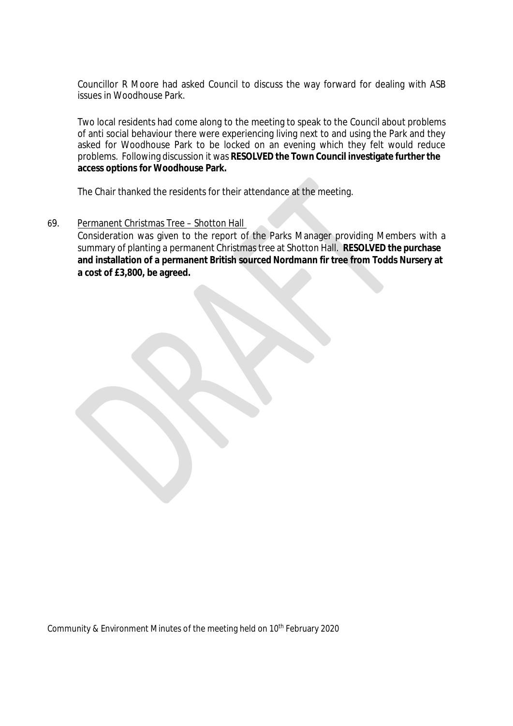Councillor R Moore had asked Council to discuss the way forward for dealing with ASB issues in Woodhouse Park.

Two local residents had come along to the meeting to speak to the Council about problems of anti social behaviour there were experiencing living next to and using the Park and they asked for Woodhouse Park to be locked on an evening which they felt would reduce problems. Following discussion it was **RESOLVED the Town Council investigate further the access options for Woodhouse Park.**

The Chair thanked the residents for their attendance at the meeting.

#### 69. Permanent Christmas Tree – Shotton Hall

Consideration was given to the report of the Parks Manager providing Members with a summary of planting a permanent Christmas tree at Shotton Hall. **RESOLVED the purchase and installation of a permanent British sourced Nordmann fir tree from Todds Nursery at a cost of £3,800, be agreed.**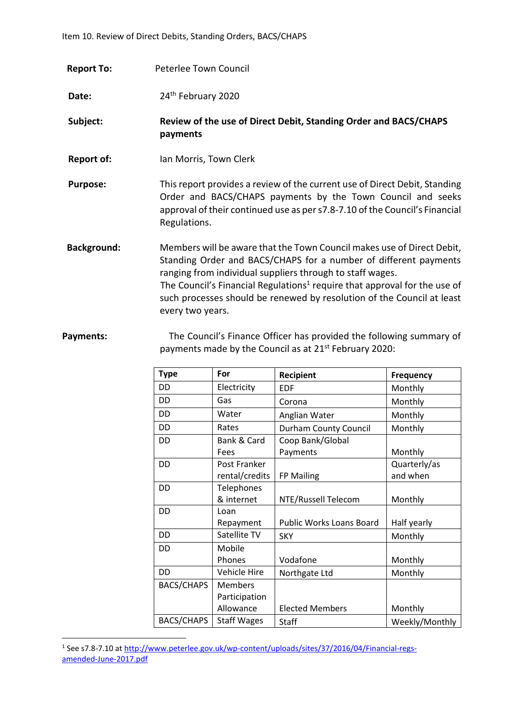| <b>Report To:</b> | Peterlee Town Council |
|-------------------|-----------------------|
|                   |                       |

Date: 24<sup>th</sup> February 2020

- **Subject: Review of the use of Direct Debit, Standing Order and BACS/CHAPS payments**
- **Report of:** Ian Morris, Town Clerk
- **Purpose:** This report provides a review of the current use of Direct Debit, Standing Order and BACS/CHAPS payments by the Town Council and seeks approval of their continued use as per s7.8-7.10 of the Council's Financial Regulations.
- **Background:** Members will be aware that the Town Council makes use of Direct Debit, Standing Order and BACS/CHAPS for a number of different payments ranging from individual suppliers through to staff wages. The Council's Financial Regulations<sup>1</sup> require that approval for the use of such processes should be renewed by resolution of the Council at least every two years.
- **Payments:** The Council's Finance Officer has provided the following summary of payments made by the Council as at 21<sup>st</sup> February 2020:

| <b>Type</b>       | For                                          | Recipient                    | <b>Frequency</b>         |
|-------------------|----------------------------------------------|------------------------------|--------------------------|
| DD                | Electricity                                  | <b>EDF</b>                   | Monthly                  |
| DD                | Gas                                          | Corona                       | Monthly                  |
| DD                | Water                                        | Anglian Water                | Monthly                  |
| DD                | Rates                                        | <b>Durham County Council</b> | Monthly                  |
| DD                | Bank & Card<br>Fees                          | Coop Bank/Global<br>Payments | Monthly                  |
| DD                | Post Franker<br>rental/credits               | FP Mailing                   | Quarterly/as<br>and when |
| DD                | Telephones<br>& internet                     | NTE/Russell Telecom          | Monthly                  |
| DD                | Loan<br>Repayment                            | Public Works Loans Board     | Half yearly              |
| DD                | Satellite TV                                 | <b>SKY</b>                   | Monthly                  |
| DD                | Mobile<br>Phones                             | Vodafone                     | Monthly                  |
| DD                | Vehicle Hire                                 | Northgate Ltd                | Monthly                  |
| <b>BACS/CHAPS</b> | <b>Members</b><br>Participation<br>Allowance | <b>Elected Members</b>       | Monthly                  |
| <b>BACS/CHAPS</b> | <b>Staff Wages</b>                           | Staff                        | Weekly/Monthly           |

<sup>&</sup>lt;sup>1</sup> See s7.8-7.10 at <u>http://www.peterlee.gov.uk/wp-content/uploads/sites/37/2016/04/Financial-regs-</u> [amended-June-2017.pdf](http://www.peterlee.gov.uk/wp-content/uploads/sites/37/2016/04/Financial-regs-amended-June-2017.pdf)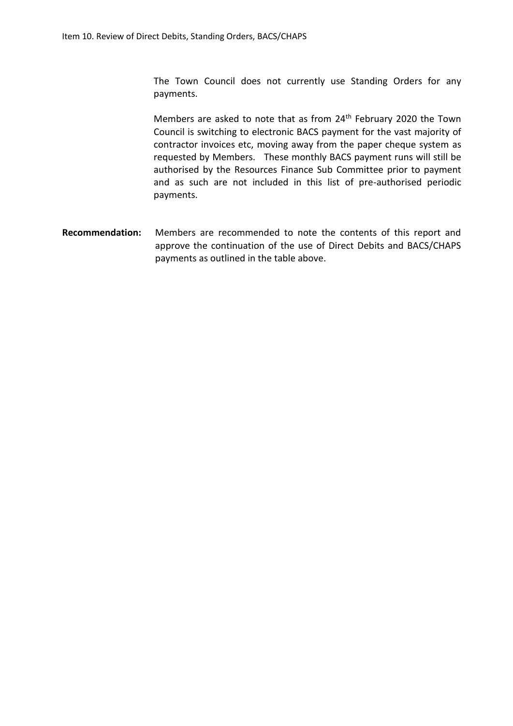The Town Council does not currently use Standing Orders for any payments.

Members are asked to note that as from 24<sup>th</sup> February 2020 the Town Council is switching to electronic BACS payment for the vast majority of contractor invoices etc, moving away from the paper cheque system as requested by Members. These monthly BACS payment runs will still be authorised by the Resources Finance Sub Committee prior to payment and as such are not included in this list of pre-authorised periodic payments.

**Recommendation:** Members are recommended to note the contents of this report and approve the continuation of the use of Direct Debits and BACS/CHAPS payments as outlined in the table above.